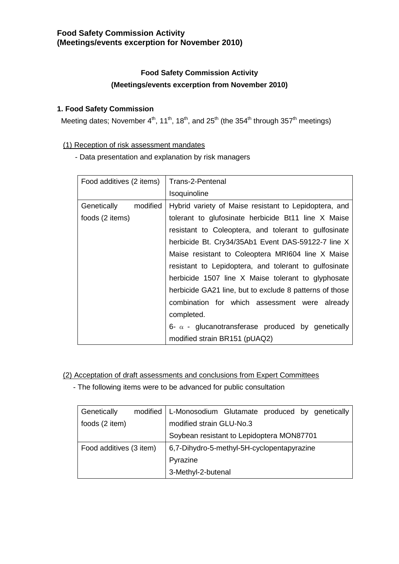# **Food Safety Commission Activity (Meetings/events excerption for November 2010)**

# **Food Safety Commission Activity (Meetings/events excerption from November 2010)**

# **1. Food Safety Commission**

Meeting dates; November 4<sup>th</sup>, 11<sup>th</sup>, 18<sup>th</sup>, and 25<sup>th</sup> (the 354<sup>th</sup> through 357<sup>th</sup> meetings)

# (1) Reception of risk assessment mandates

- Data presentation and explanation by risk managers

| Food additives (2 items) | Trans-2-Pentenal                                         |  |  |
|--------------------------|----------------------------------------------------------|--|--|
|                          | Isoquinoline                                             |  |  |
| Genetically<br>modified  | Hybrid variety of Maise resistant to Lepidoptera, and    |  |  |
| foods (2 items)          | tolerant to glufosinate herbicide Bt11 line X Maise      |  |  |
|                          | resistant to Coleoptera, and tolerant to gulfosinate     |  |  |
|                          | herbicide Bt. Cry34/35Ab1 Event DAS-59122-7 line X       |  |  |
|                          | Maise resistant to Coleoptera MRI604 line X Maise        |  |  |
|                          | resistant to Lepidoptera, and tolerant to gulfosinate    |  |  |
|                          | herbicide 1507 line X Maise tolerant to glyphosate       |  |  |
|                          | herbicide GA21 line, but to exclude 8 patterns of those  |  |  |
|                          | combination for which assessment were already            |  |  |
|                          | completed.                                               |  |  |
|                          | 6- $\alpha$ - glucanotransferase produced by genetically |  |  |
|                          | modified strain BR151 (pUAQ2)                            |  |  |

(2) Acceptation of draft assessments and conclusions from Expert Committees

- The following items were to be advanced for public consultation

| Genetically             | modified   L-Monosodium Glutamate produced by genetically |  |  |
|-------------------------|-----------------------------------------------------------|--|--|
| foods (2 item)          | modified strain GLU-No.3                                  |  |  |
|                         | Soybean resistant to Lepidoptera MON87701                 |  |  |
| Food additives (3 item) | 6,7-Dihydro-5-methyl-5H-cyclopentapyrazine                |  |  |
|                         | Pyrazine                                                  |  |  |
|                         | 3-Methyl-2-butenal                                        |  |  |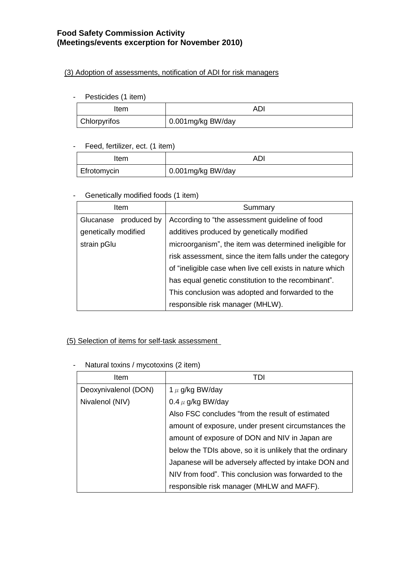# **Food Safety Commission Activity (Meetings/events excerption for November 2010)**

#### (3) Adoption of assessments, notification of ADI for risk managers

#### - Pesticides (1 item)

| Item                | AD.               |
|---------------------|-------------------|
| <b>Chlorpyrifos</b> | 0.001mg/kg BW/day |

#### - Feed, fertilizer, ect. (1 item)

| Item        |                   |
|-------------|-------------------|
| Efrotomycin | 0.001mg/kg BW/day |

# - Genetically modified foods (1 item)

|                      | Item        | Summary                                                   |
|----------------------|-------------|-----------------------------------------------------------|
| Glucanase            | produced by | According to "the assessment guideline of food            |
| genetically modified |             | additives produced by genetically modified                |
| strain pGlu          |             | microorganism", the item was determined ineligible for    |
|                      |             | risk assessment, since the item falls under the category  |
|                      |             | of "ineligible case when live cell exists in nature which |
|                      |             | has equal genetic constitution to the recombinant".       |
|                      |             | This conclusion was adopted and forwarded to the          |
|                      |             | responsible risk manager (MHLW).                          |

# (5) Selection of items for self-task assessment

| Item                 | TDI                                                       |
|----------------------|-----------------------------------------------------------|
| Deoxynivalenol (DON) | 1 $\mu$ g/kg BW/day                                       |
| Nivalenol (NIV)      | 0.4 $\mu$ g/kg BW/day                                     |
|                      | Also FSC concludes "from the result of estimated          |
|                      | amount of exposure, under present circumstances the       |
|                      | amount of exposure of DON and NIV in Japan are            |
|                      | below the TDIs above, so it is unlikely that the ordinary |
|                      | Japanese will be adversely affected by intake DON and     |
|                      | NIV from food". This conclusion was forwarded to the      |
|                      | responsible risk manager (MHLW and MAFF).                 |

#### - Natural toxins / mycotoxins (2 item)